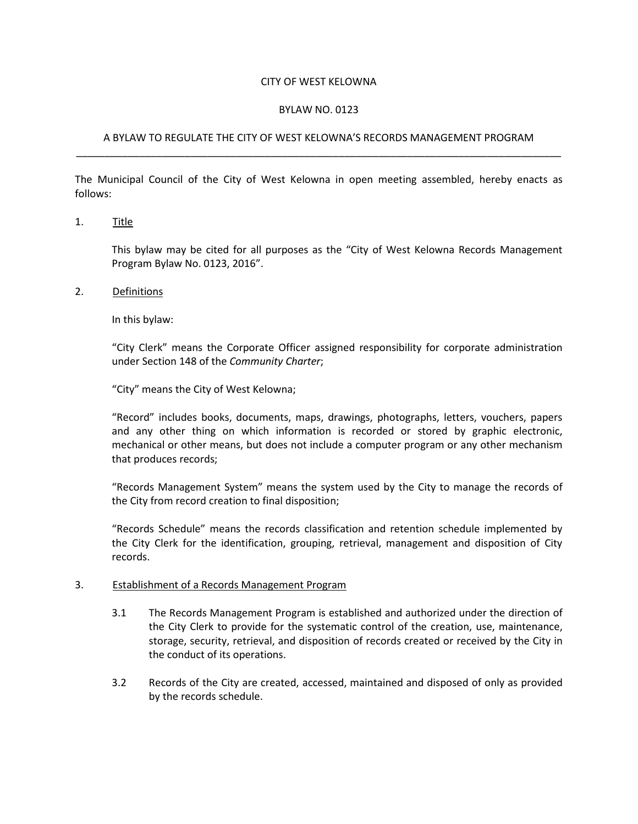## CITY OF WEST KELOWNA

## BYLAW NO. 0123

## A BYLAW TO REGULATE THE CITY OF WEST KELOWNA'S RECORDS MANAGEMENT PROGRAM \_\_\_\_\_\_\_\_\_\_\_\_\_\_\_\_\_\_\_\_\_\_\_\_\_\_\_\_\_\_\_\_\_\_\_\_\_\_\_\_\_\_\_\_\_\_\_\_\_\_\_\_\_\_\_\_\_\_\_\_\_\_\_\_\_\_\_\_\_\_\_\_\_\_\_\_\_\_\_\_\_\_\_\_\_

The Municipal Council of the City of West Kelowna in open meeting assembled, hereby enacts as follows:

1. Title

This bylaw may be cited for all purposes as the "City of West Kelowna Records Management Program Bylaw No. 0123, 2016".

2. Definitions

In this bylaw:

"City Clerk" means the Corporate Officer assigned responsibility for corporate administration under Section 148 of the *Community Charter*;

"City" means the City of West Kelowna;

"Record" includes books, documents, maps, drawings, photographs, letters, vouchers, papers and any other thing on which information is recorded or stored by graphic electronic, mechanical or other means, but does not include a computer program or any other mechanism that produces records;

"Records Management System" means the system used by the City to manage the records of the City from record creation to final disposition;

"Records Schedule" means the records classification and retention schedule implemented by the City Clerk for the identification, grouping, retrieval, management and disposition of City records.

## 3. Establishment of a Records Management Program

- 3.1 The Records Management Program is established and authorized under the direction of the City Clerk to provide for the systematic control of the creation, use, maintenance, storage, security, retrieval, and disposition of records created or received by the City in the conduct of its operations.
- 3.2 Records of the City are created, accessed, maintained and disposed of only as provided by the records schedule.